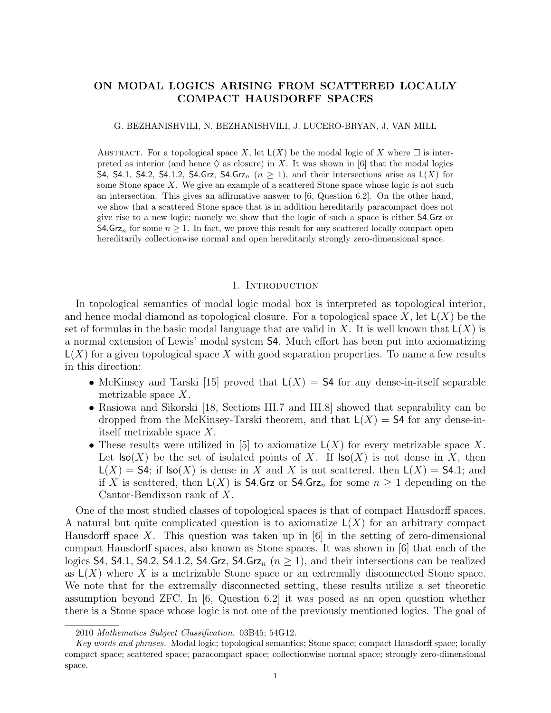# ON MODAL LOGICS ARISING FROM SCATTERED LOCALLY COMPACT HAUSDORFF SPACES

#### G. BEZHANISHVILI, N. BEZHANISHVILI, J. LUCERO-BRYAN, J. VAN MILL

ABSTRACT. For a topological space X, let  $L(X)$  be the modal logic of X where  $\Box$  is interpreted as interior (and hence  $\Diamond$  as closure) in X. It was shown in [6] that the modal logics S4, S4.1, S4.2, S4.1.2, S4.Grz, S4.Grz<sub>n</sub>  $(n \geq 1)$ , and their intersections arise as  $L(X)$  for some Stone space  $X$ . We give an example of a scattered Stone space whose logic is not such an intersection. This gives an affirmative answer to  $(6,$  Question 6.2. On the other hand, we show that a scattered Stone space that is in addition hereditarily paracompact does not give rise to a new logic; namely we show that the logic of such a space is either S4.Grz or **S4.Grz**<sub>n</sub> for some  $n \geq 1$ . In fact, we prove this result for any scattered locally compact open hereditarily collectionwise normal and open hereditarily strongly zero-dimensional space.

#### 1. INTRODUCTION

In topological semantics of modal logic modal box is interpreted as topological interior, and hence modal diamond as topological closure. For a topological space  $X$ , let  $\mathsf{L}(X)$  be the set of formulas in the basic modal language that are valid in X. It is well known that  $\mathsf{L}(X)$  is a normal extension of Lewis' modal system S4. Much effort has been put into axiomatizing  $L(X)$  for a given topological space X with good separation properties. To name a few results in this direction:

- McKinsey and Tarski [15] proved that  $L(X) = S4$  for any dense-in-itself separable metrizable space X.
- Rasiowa and Sikorski [18, Sections III.7 and III.8] showed that separability can be dropped from the McKinsey-Tarski theorem, and that  $L(X) = S4$  for any dense-initself metrizable space X.
- These results were utilized in [5] to axiomatize  $\mathsf{L}(X)$  for every metrizable space X. Let  $\textsf{Iso}(X)$  be the set of isolated points of X. If  $\textsf{Iso}(X)$  is not dense in X, then  $L(X) = S4$ ; if  $\text{Iso}(X)$  is dense in X and X is not scattered, then  $L(X) = S4.1$ ; and if X is scattered, then  $\mathsf{L}(X)$  is **S4.Grz** or **S4.Grz**<sub>n</sub> for some  $n \geq 1$  depending on the Cantor-Bendixson rank of X.

One of the most studied classes of topological spaces is that of compact Hausdorff spaces. A natural but quite complicated question is to axiomatize  $L(X)$  for an arbitrary compact Hausdorff space X. This question was taken up in  $[6]$  in the setting of zero-dimensional compact Hausdorff spaces, also known as Stone spaces. It was shown in [6] that each of the logics S4, S4.1, S4.2, S4.1.2, S4.Grz, S4.Grz<sub>n</sub> ( $n \ge 1$ ), and their intersections can be realized as  $L(X)$  where X is a metrizable Stone space or an extremally disconnected Stone space. We note that for the extremally disconnected setting, these results utilize a set theoretic assumption beyond ZFC. In [6, Question 6.2] it was posed as an open question whether there is a Stone space whose logic is not one of the previously mentioned logics. The goal of

<sup>2010</sup> Mathematics Subject Classification. 03B45; 54G12.

Key words and phrases. Modal logic; topological semantics; Stone space; compact Hausdorff space; locally compact space; scattered space; paracompact space; collectionwise normal space; strongly zero-dimensional space.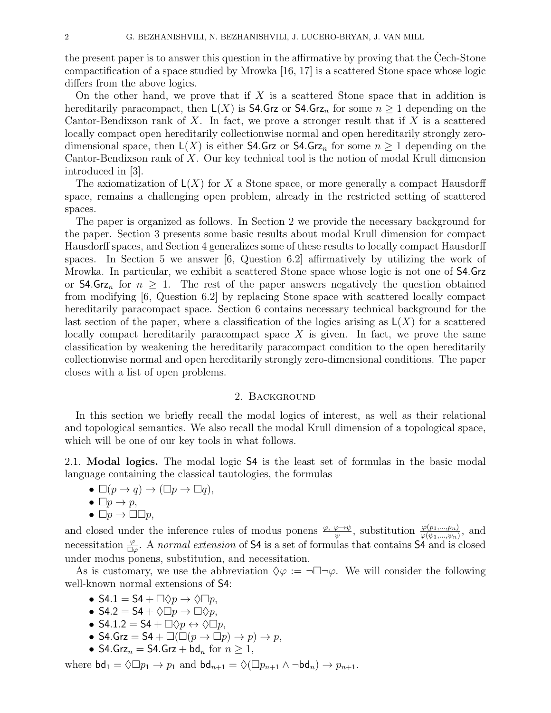the present paper is to answer this question in the affirmative by proving that the Cech-Stone compactification of a space studied by Mrowka [16, 17] is a scattered Stone space whose logic differs from the above logics.

On the other hand, we prove that if  $X$  is a scattered Stone space that in addition is hereditarily paracompact, then  $L(X)$  is **S4.Grz** or **S4.Grz**<sub>n</sub> for some  $n \geq 1$  depending on the Cantor-Bendixson rank of  $X$ . In fact, we prove a stronger result that if  $X$  is a scattered locally compact open hereditarily collectionwise normal and open hereditarily strongly zerodimensional space, then  $L(X)$  is either **S4.Grz** or **S4.Grz**<sub>n</sub> for some  $n \geq 1$  depending on the Cantor-Bendixson rank of X. Our key technical tool is the notion of modal Krull dimension introduced in [3].

The axiomatization of  $L(X)$  for X a Stone space, or more generally a compact Hausdorff space, remains a challenging open problem, already in the restricted setting of scattered spaces.

The paper is organized as follows. In Section 2 we provide the necessary background for the paper. Section 3 presents some basic results about modal Krull dimension for compact Hausdorff spaces, and Section 4 generalizes some of these results to locally compact Hausdorff spaces. In Section 5 we answer [6, Question 6.2] affirmatively by utilizing the work of Mrowka. In particular, we exhibit a scattered Stone space whose logic is not one of S4.Grz or **S4.Grz**<sub>n</sub> for  $n \geq 1$ . The rest of the paper answers negatively the question obtained from modifying [6, Question 6.2] by replacing Stone space with scattered locally compact hereditarily paracompact space. Section 6 contains necessary technical background for the last section of the paper, where a classification of the logics arising as  $\mathsf{L}(X)$  for a scattered locally compact hereditarily paracompact space  $X$  is given. In fact, we prove the same classification by weakening the hereditarily paracompact condition to the open hereditarily collectionwise normal and open hereditarily strongly zero-dimensional conditions. The paper closes with a list of open problems.

### 2. Background

In this section we briefly recall the modal logics of interest, as well as their relational and topological semantics. We also recall the modal Krull dimension of a topological space, which will be one of our key tools in what follows.

2.1. Modal logics. The modal logic S4 is the least set of formulas in the basic modal language containing the classical tautologies, the formulas

- $\Box(p \to q) \to (\Box p \to \Box q),$
- $\Box p \rightarrow p$ ,
- $\Box p \rightarrow \Box \Box p$ ,

and closed under the inference rules of modus ponens  $\frac{\varphi, \varphi \to \psi}{\psi}$ , substitution  $\frac{\varphi(p_1,...,p_n)}{\varphi(\psi_1,...,\psi_n)}$ , and necessitation  $\frac{\varphi}{\Box \varphi}$ . A normal extension of S4 is a set of formulas that contains S4 and is closed under modus ponens, substitution, and necessitation.

As is customary, we use the abbreviation  $\Diamond \varphi := \neg \Box \neg \varphi$ . We will consider the following well-known normal extensions of S4:

- S4.1 = S4 +  $\Box$  $\Diamond p \rightarrow \Diamond \Box p$ ,
- S4.2 = S4 +  $\Diamond \Box p \rightarrow \Box \Diamond p$ ,
- S4.1.2 = S4 +  $\Box$  $\Diamond p \leftrightarrow \Diamond \Box p$ ,
- S4.Grz = S4 +  $\square(\square(p \rightarrow \square p) \rightarrow p) \rightarrow p$ ,
- S4.Grz<sub>n</sub> = S4.Grz + bd<sub>n</sub> for  $n \geq 1$ ,

where  $\mathsf{bd}_1 = \Diamond \Box p_1 \to p_1$  and  $\mathsf{bd}_{n+1} = \Diamond (\Box p_{n+1} \land \neg \mathsf{bd}_n) \to p_{n+1}$ .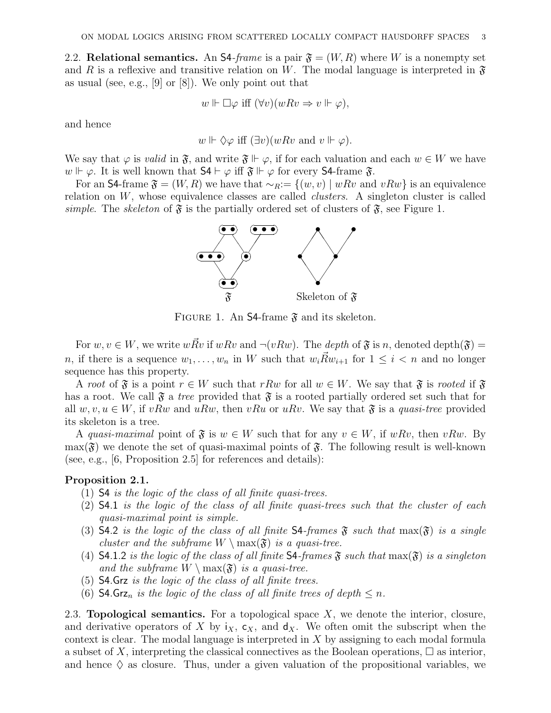2.2. Relational semantics. An S4-frame is a pair  $\mathfrak{F} = (W, R)$  where W is a nonempty set and R is a reflexive and transitive relation on W. The modal language is interpreted in  $\mathfrak F$ as usual (see, e.g.,  $[9]$  or  $[8]$ ). We only point out that

$$
w \Vdash \Box \varphi \text{ iff } (\forall v)(wRv \Rightarrow v \Vdash \varphi),
$$

and hence

$$
w \Vdash \Diamond \varphi
$$
 iff  $(\exists v)(wRv$  and  $v \Vdash \varphi)$ .

We say that  $\varphi$  is valid in  $\mathfrak{F}$ , and write  $\mathfrak{F} \Vdash \varphi$ , if for each valuation and each  $w \in W$  we have  $w \Vdash \varphi$ . It is well known that  $\mathsf{S4} \vdash \varphi$  iff  $\mathfrak{F} \Vdash \varphi$  for every  $\mathsf{S4}\text{-frame } \mathfrak{F}$ .

For an S4-frame  $\mathfrak{F} = (W, R)$  we have that  $\sim_R := \{(w, v) \mid wRv \text{ and } vRw\}$  is an equivalence relation on  $W$ , whose equivalence classes are called *clusters*. A singleton cluster is called simple. The skeleton of  $\mathfrak{F}$  is the partially ordered set of clusters of  $\mathfrak{F}$ , see Figure 1.



FIGURE 1. An S4-frame  $\mathfrak{F}$  and its skeleton.

For  $w, v \in W$ , we write  $wRv$  if  $wRv$  and  $\neg(vRw)$ . The depth of  $\mathfrak{F}$  is n, denoted depth $(\mathfrak{F})$  = n, if there is a sequence  $w_1, \ldots, w_n$  in W such that  $w_i \vec{R} w_{i+1}$  for  $1 \leq i < n$  and no longer sequence has this property.

A root of  $\mathfrak{F}$  is a point  $r \in W$  such that rRw for all  $w \in W$ . We say that  $\mathfrak{F}$  is rooted if  $\mathfrak{F}$ has a root. We call  $\mathfrak{F}$  a tree provided that  $\mathfrak{F}$  is a rooted partially ordered set such that for all  $w, v, u \in W$ , if vRw and uRw, then vRu or uRv. We say that  $\mathfrak{F}$  is a quasi-tree provided its skeleton is a tree.

A quasi-maximal point of  $\mathfrak{F}$  is  $w \in W$  such that for any  $v \in W$ , if wRv, then vRw. By  $\max(\mathfrak{F})$  we denote the set of quasi-maximal points of  $\mathfrak{F}$ . The following result is well-known (see, e.g., [6, Proposition 2.5] for references and details):

### Proposition 2.1.

- (1) S4 is the logic of the class of all finite quasi-trees.
- (2) S4.1 is the logic of the class of all finite quasi-trees such that the cluster of each quasi-maximal point is simple.
- (3) S4.2 is the logic of the class of all finite S4-frames  $\mathfrak F$  such that  $\max(\mathfrak F)$  is a single cluster and the subframe  $W \setminus \max(\mathfrak{F})$  is a quasi-tree.
- (4) **S4.1.2** is the logic of the class of all finite **S4**-frames  $\mathfrak{F}$  such that  $\max(\mathfrak{F})$  is a singleton and the subframe  $W \setminus \max(\mathfrak{F})$  is a quasi-tree.
- (5) S4.Grz is the logic of the class of all finite trees.
- (6) S4.Grz<sub>n</sub> is the logic of the class of all finite trees of depth  $\leq n$ .

2.3. **Topological semantics.** For a topological space  $X$ , we denote the interior, closure, and derivative operators of X by  $i_X$ ,  $c_X$ , and  $d_X$ . We often omit the subscript when the context is clear. The modal language is interpreted in X by assigning to each modal formula a subset of X, interpreting the classical connectives as the Boolean operations,  $\square$  as interior, and hence  $\Diamond$  as closure. Thus, under a given valuation of the propositional variables, we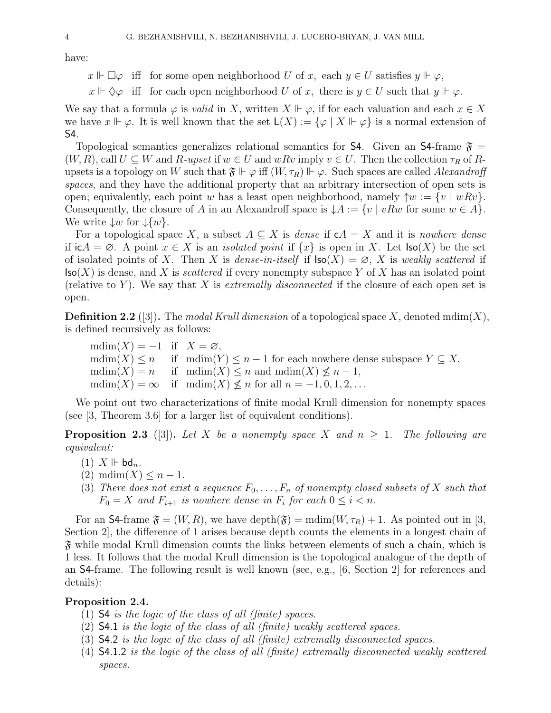have:

 $x \Vdash \Box \varphi$  iff for some open neighborhood U of x, each  $y \in U$  satisfies  $y \Vdash \varphi$ ,

 $x \Vdash \Diamond \varphi$  iff for each open neighborhood U of x, there is  $y \in U$  such that  $y \Vdash \varphi$ .

We say that a formula  $\varphi$  is *valid* in X, written  $X \Vdash \varphi$ , if for each valuation and each  $x \in X$ we have  $x \Vdash \varphi$ . It is well known that the set  $\mathsf{L}(X) := \{ \varphi \mid X \Vdash \varphi \}$  is a normal extension of S4.

Topological semantics generalizes relational semantics for S4. Given an S4-frame  $\mathfrak{F} =$  $(W, R)$ , call  $U \subseteq W$  and  $R$ -upset if  $w \in U$  and  $wRv$  imply  $v \in U$ . Then the collection  $\tau_R$  of  $R$ upsets is a topology on W such that  $\mathfrak{F} \Vdash \varphi$  iff  $(W, \tau_R) \Vdash \varphi$ . Such spaces are called Alexandroff spaces, and they have the additional property that an arbitrary intersection of open sets is open; equivalently, each point w has a least open neighborhood, namely  $\uparrow w := \{v \mid wRv\}.$ Consequently, the closure of A in an Alexandroff space is  $\downarrow A := \{v \mid vRw \text{ for some } w \in A\}.$ We write  $\downarrow w$  for  $\downarrow \{w\}$ .

For a topological space X, a subset  $A \subseteq X$  is dense if  $cA = X$  and it is nowhere dense if  $i\mathsf{c} A = \emptyset$ . A point  $x \in X$  is an *isolated point* if  $\{x\}$  is open in X. Let  $\mathsf{Iso}(X)$  be the set of isolated points of X. Then X is dense-in-itself if  $\text{Iso}(X) = \emptyset$ , X is weakly scattered if  $\mathsf{Iso}(X)$  is dense, and X is *scattered* if every nonempty subspace Y of X has an isolated point (relative to Y). We say that X is extremally disconnected if the closure of each open set is open.

**Definition 2.2** ([3]). The modal Krull dimension of a topological space X, denoted mdim(X), is defined recursively as follows:

 $mdim(X) = -1$  if  $X = \emptyset$ ,  $\text{mdim}(X) \leq n$  if  $\text{mdim}(Y) \leq n-1$  for each nowhere dense subspace  $Y \subseteq X$ ,  $\text{mdim}(X) = n$  if  $\text{mdim}(X) \leq n$  and  $\text{mdim}(X) \leq n - 1$ ,  $\text{mdim}(X) = \infty$  if  $\text{mdim}(X) \not\leq n$  for all  $n = -1, 0, 1, 2, \ldots$ 

We point out two characterizations of finite modal Krull dimension for nonempty spaces (see [3, Theorem 3.6] for a larger list of equivalent conditions).

**Proposition 2.3** ([3]). Let X be a nonempty space X and  $n \geq 1$ . The following are equivalent:

- $(1)$  X  $\mathbb{H}$  bd<sub>n</sub>.
- $(2)$  mdim $(X) \leq n-1$ .
- (3) There does not exist a sequence  $F_0, \ldots, F_n$  of nonempty closed subsets of X such that  $F_0 = X$  and  $F_{i+1}$  is nowhere dense in  $F_i$  for each  $0 \leq i < n$ .

For an **S4**-frame  $\mathfrak{F} = (W, R)$ , we have depth $(\mathfrak{F}) = \text{mdim}(W, \tau_R) + 1$ . As pointed out in [3, Section 2], the difference of 1 arises because depth counts the elements in a longest chain of  $\mathfrak F$  while modal Krull dimension counts the links between elements of such a chain, which is 1 less. It follows that the modal Krull dimension is the topological analogue of the depth of an S4-frame. The following result is well known (see, e.g., [6, Section 2] for references and details):

# Proposition 2.4.

- (1) S4 is the logic of the class of all (finite) spaces.
- (2) S4.1 is the logic of the class of all (finite) weakly scattered spaces.
- (3) S4.2 is the logic of the class of all (finite) extremally disconnected spaces.
- (4) S4.1.2 is the logic of the class of all (finite) extremally disconnected weakly scattered spaces.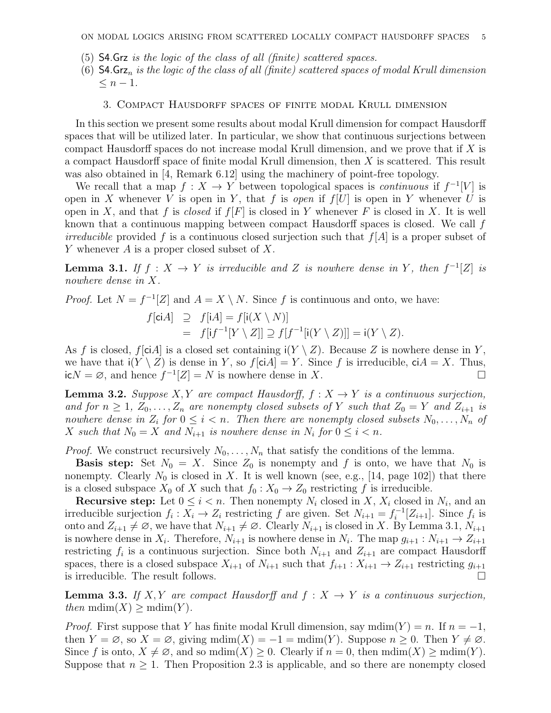- (5) S4.Grz is the logic of the class of all (finite) scattered spaces.
- (6)  $\mathsf{S4}$ .Grz<sub>n</sub> is the logic of the class of all (finite) scattered spaces of modal Krull dimension  $\leq n-1$ .

#### 3. Compact Hausdorff spaces of finite modal Krull dimension

In this section we present some results about modal Krull dimension for compact Hausdorff spaces that will be utilized later. In particular, we show that continuous surjections between compact Hausdorff spaces do not increase modal Krull dimension, and we prove that if X is a compact Hausdorff space of finite modal Krull dimension, then X is scattered. This result was also obtained in [4, Remark 6.12] using the machinery of point-free topology.

We recall that a map  $f: X \to Y$  between topological spaces is *continuous* if  $f^{-1}[V]$  is open in X whenever V is open in Y, that f is open if  $f[U]$  is open in Y whenever U is open in X, and that f is closed if  $f[F]$  is closed in Y whenever F is closed in X. It is well known that a continuous mapping between compact Hausdorff spaces is closed. We call f *irreducible* provided f is a continuous closed surjection such that  $f[A]$  is a proper subset of Y whenever  $A$  is a proper closed subset of  $X$ .

**Lemma 3.1.** If  $f: X \to Y$  is irreducible and Z is nowhere dense in Y, then  $f^{-1}[Z]$  is nowhere dense in X.

*Proof.* Let  $N = f^{-1}[Z]$  and  $A = X \setminus N$ . Since f is continuous and onto, we have:

$$
f[\text{ci}A] \supseteq f[\text{i}A] = f[\text{i}(X \setminus N)]
$$
  
= 
$$
f[\text{i}f^{-1}[Y \setminus Z]] \supseteq f[f^{-1}[\text{i}(Y \setminus Z)]] = \text{i}(Y \setminus Z).
$$

As f is closed, f[ciA] is a closed set containing  $i(Y \setminus Z)$ . Because Z is nowhere dense in Y, we have that  $i(Y \setminus Z)$  is dense in Y, so  $f[\text{ci}A] = Y$ . Since f is irreducible,  $\text{ci}A = X$ . Thus,  $i\epsilon N = \emptyset$ , and hence  $f^{-1}[Z] = N$  is nowhere dense in X.

**Lemma 3.2.** Suppose X, Y are compact Hausdorff,  $f : X \to Y$  is a continuous surjection, and for  $n \geq 1$ ,  $Z_0, \ldots, Z_n$  are nonempty closed subsets of Y such that  $Z_0 = Y$  and  $Z_{i+1}$  is nowhere dense in  $Z_i$  for  $0 \leq i < n$ . Then there are nonempty closed subsets  $N_0, \ldots, N_n$  of X such that  $N_0 = X$  and  $N_{i+1}$  is nowhere dense in  $N_i$  for  $0 \leq i < n$ .

*Proof.* We construct recursively  $N_0, \ldots, N_n$  that satisfy the conditions of the lemma.

**Basis step:** Set  $N_0 = X$ . Since  $Z_0$  is nonempty and f is onto, we have that  $N_0$  is nonempty. Clearly  $N_0$  is closed in X. It is well known (see, e.g., [14, page 102]) that there is a closed subspace  $X_0$  of X such that  $f_0 : X_0 \to Z_0$  restricting f is irreducible.

**Recursive step:** Let  $0 \leq i < n$ . Then nonempty  $N_i$  closed in X,  $X_i$  closed in  $N_i$ , and an irreducible surjection  $f_i: X_i \to Z_i$  restricting f are given. Set  $N_{i+1} = f_i^{-1}$  $\sum_{i}^{i-1}[Z_{i+1}]$ . Since  $f_i$  is onto and  $Z_{i+1} \neq \emptyset$ , we have that  $N_{i+1} \neq \emptyset$ . Clearly  $N_{i+1}$  is closed in X. By Lemma 3.1,  $N_{i+1}$ is nowhere dense in  $X_i$ . Therefore,  $N_{i+1}$  is nowhere dense in  $N_i$ . The map  $g_{i+1}: N_{i+1} \to Z_{i+1}$ restricting  $f_i$  is a continuous surjection. Since both  $N_{i+1}$  and  $Z_{i+1}$  are compact Hausdorff spaces, there is a closed subspace  $X_{i+1}$  of  $N_{i+1}$  such that  $f_{i+1}: X_{i+1} \to Z_{i+1}$  restricting  $g_{i+1}$ is irreducible. The result follows.

**Lemma 3.3.** If X, Y are compact Hausdorff and  $f: X \rightarrow Y$  is a continuous surjection, then  $mdim(X) \geq mdim(Y)$ .

*Proof.* First suppose that Y has finite modal Krull dimension, say mdim(Y) = n. If  $n = -1$ , then  $Y = \emptyset$ , so  $X = \emptyset$ , giving  $\text{mdim}(X) = -1 = \text{mdim}(Y)$ . Suppose  $n \geq 0$ . Then  $Y \neq \emptyset$ . Since f is onto,  $X \neq \emptyset$ , and so mdim $(X) \geq 0$ . Clearly if  $n = 0$ , then mdim $(X) \geq \text{mdim}(Y)$ . Suppose that  $n \geq 1$ . Then Proposition 2.3 is applicable, and so there are nonempty closed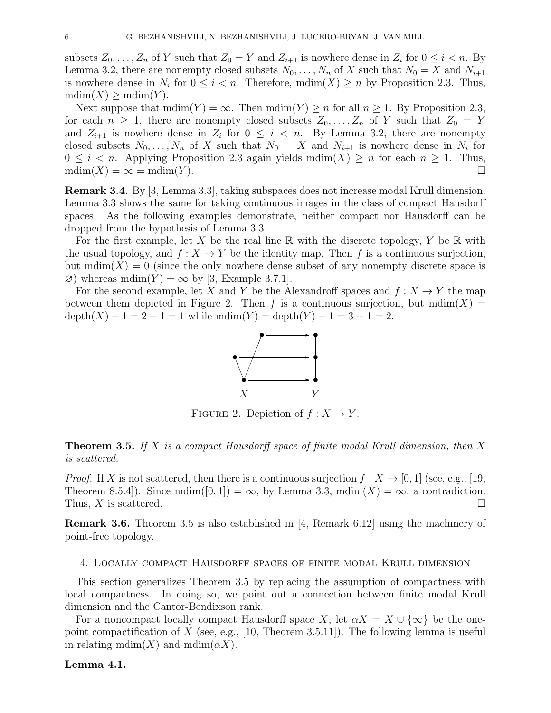subsets  $Z_0, \ldots, Z_n$  of Y such that  $Z_0 = Y$  and  $Z_{i+1}$  is nowhere dense in  $Z_i$  for  $0 \leq i < n$ . By Lemma 3.2, there are nonempty closed subsets  $N_0, \ldots, N_n$  of X such that  $N_0 = X$  and  $N_{i+1}$ is nowhere dense in  $N_i$  for  $0 \leq i < n$ . Therefore,  $\text{mdim}(X) \geq n$  by Proposition 2.3. Thus,  $mdim(X) > mdim(Y).$ 

Next suppose that  $\text{mdim}(Y) = \infty$ . Then  $\text{mdim}(Y) \geq n$  for all  $n \geq 1$ . By Proposition 2.3, for each  $n \geq 1$ , there are nonempty closed subsets  $Z_0, \ldots, Z_n$  of Y such that  $Z_0 = Y$ and  $Z_{i+1}$  is nowhere dense in  $Z_i$  for  $0 \leq i \leq n$ . By Lemma 3.2, there are nonempty closed subsets  $N_0, \ldots, N_n$  of X such that  $N_0 = X$  and  $N_{i+1}$  is nowhere dense in  $N_i$  for  $0 \leq i \leq n$ . Applying Proposition 2.3 again yields  $\text{mdim}(X) \geq n$  for each  $n \geq 1$ . Thus,  $\text{mdim}(X) = \infty = \text{mdim}(Y).$ 

Remark 3.4. By [3, Lemma 3.3], taking subspaces does not increase modal Krull dimension. Lemma 3.3 shows the same for taking continuous images in the class of compact Hausdorff spaces. As the following examples demonstrate, neither compact nor Hausdorff can be dropped from the hypothesis of Lemma 3.3.

For the first example, let X be the real line  $\mathbb R$  with the discrete topology, Y be  $\mathbb R$  with the usual topology, and  $f: X \to Y$  be the identity map. Then f is a continuous surjection, but  $\text{mdim}(X) = 0$  (since the only nowhere dense subset of any nonempty discrete space is  $\varnothing$ ) whereas mdim(Y) =  $\infty$  by [3, Example 3.7.1].

For the second example, let X and Y be the Alexandroff spaces and  $f: X \to Y$  the map between them depicted in Figure 2. Then f is a continuous surjection, but  $\text{mdim}(X) =$  $depth(X) - 1 = 2 - 1 = 1$  while  $mdim(Y) = depth(Y) - 1 = 3 - 1 = 2$ .



FIGURE 2. Depiction of  $f: X \to Y$ .

**Theorem 3.5.** If X is a compact Hausdorff space of finite modal Krull dimension, then X is scattered.

*Proof.* If X is not scattered, then there is a continuous surjection  $f: X \to [0,1]$  (see, e.g., [19,] Theorem 8.5.4]). Since mdim([0,1]) =  $\infty$ , by Lemma 3.3, mdim(X) =  $\infty$ , a contradiction. Thus, X is scattered.  $\square$ 

Remark 3.6. Theorem 3.5 is also established in [4, Remark 6.12] using the machinery of point-free topology.

### 4. Locally compact Hausdorff spaces of finite modal Krull dimension

This section generalizes Theorem 3.5 by replacing the assumption of compactness with local compactness. In doing so, we point out a connection between finite modal Krull dimension and the Cantor-Bendixson rank.

For a noncompact locally compact Hausdorff space X, let  $\alpha X = X \cup {\infty}$  be the onepoint compactification of X (see, e.g., [10, Theorem 3.5.11]). The following lemma is useful in relating mdim $(X)$  and mdim $(\alpha X)$ .

### Lemma 4.1.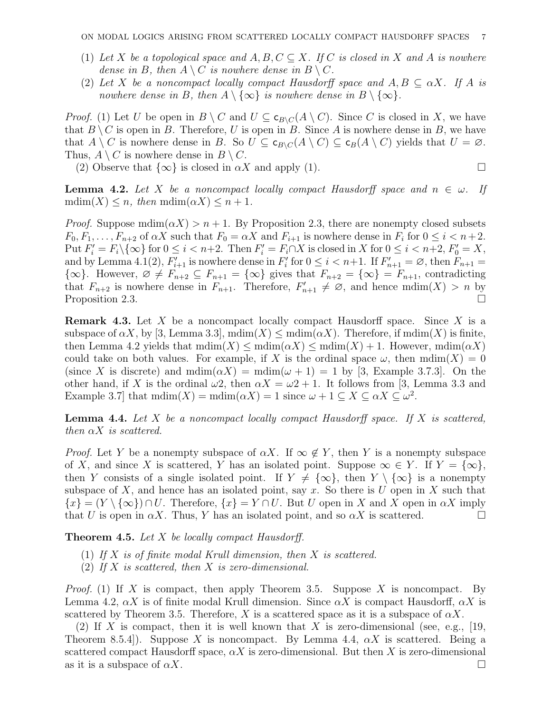- (1) Let X be a topological space and  $A, B, C \subseteq X$ . If C is closed in X and A is nowhere dense in B, then  $A \setminus C$  is nowhere dense in  $B \setminus C$ .
- (2) Let X be a noncompact locally compact Hausdorff space and  $A, B \subseteq \alpha X$ . If A is nowhere dense in B, then  $A \setminus \{\infty\}$  is nowhere dense in  $B \setminus \{\infty\}.$

*Proof.* (1) Let U be open in  $B \setminus C$  and  $U \subseteq \mathsf{c}_{B \setminus C}(A \setminus C)$ . Since C is closed in X, we have that  $B \setminus C$  is open in B. Therefore, U is open in B. Since A is nowhere dense in B, we have that  $A \setminus C$  is nowhere dense in B. So  $U \subseteq \mathsf{c}_{B \setminus C}(A \setminus C) \subseteq \mathsf{c}_{B}(A \setminus C)$  yields that  $U = \varnothing$ . Thus,  $A \setminus C$  is nowhere dense in  $B \setminus C$ .

(2) Observe that  $\{\infty\}$  is closed in  $\alpha X$  and apply (1).

**Lemma 4.2.** Let X be a noncompact locally compact Hausdorff space and  $n \in \omega$ . If mdim $(X) \leq n$ , then mdim $(\alpha X) \leq n+1$ .

*Proof.* Suppose  $\text{mdim}(\alpha X) > n + 1$ . By Proposition 2.3, there are nonempty closed subsets  $F_0, F_1, \ldots, F_{n+2}$  of  $\alpha X$  such that  $F_0 = \alpha X$  and  $F_{i+1}$  is nowhere dense in  $F_i$  for  $0 \le i < n+2$ . Put  $F_i' = F_i \setminus \{\infty\}$  for  $0 \le i < n+2$ . Then  $F_i' = F_i \cap X$  is closed in X for  $0 \le i < n+2$ ,  $F_0' = X$ , and by Lemma 4.1(2),  $F'_{i+1}$  is nowhere dense in  $F'_{i}$  for  $0 \leq i < n+1$ . If  $F'_{n+1} = \emptyset$ , then  $F_{n+1} = \emptyset$  ${\infty}$ . However,  $\emptyset \neq F_{n+2} \subseteq F_{n+1} = {\infty}$  gives that  $F_{n+2} = {\infty} = F_{n+1}$ , contradicting that  $F_{n+2}$  is nowhere dense in  $F_{n+1}$ . Therefore,  $F'_{n+1} \neq \emptyset$ , and hence  $\text{mdim}(X) > n$  by Proposition 2.3.

**Remark 4.3.** Let X be a noncompact locally compact Hausdorff space. Since X is a subspace of  $\alpha X$ , by [3, Lemma 3.3],  $\text{mdim}(X) \leq \text{mdim}(\alpha X)$ . Therefore, if  $\text{mdim}(X)$  is finite, then Lemma 4.2 yields that  $\text{mdim}(X) \leq \text{mdim}(\alpha X) \leq \text{mdim}(X) + 1$ . However,  $\text{mdim}(\alpha X)$ could take on both values. For example, if X is the ordinal space  $\omega$ , then  $\text{mdim}(X) = 0$ (since X is discrete) and  $\text{mdim}(\alpha X) = \text{mdim}(\omega + 1) = 1$  by [3, Example 3.7.3]. On the other hand, if X is the ordinal  $\omega$ 2, then  $\alpha X = \omega^2 + 1$ . It follows from [3, Lemma 3.3 and Example 3.7 that  $\text{mdim}(X) = \text{mdim}(\alpha X) = 1$  since  $\omega + 1 \subseteq X \subseteq \alpha X \subseteq \omega^2$ .

**Lemma 4.4.** Let  $X$  be a noncompact locally compact Hausdorff space. If  $X$  is scattered, then  $\alpha X$  is scattered.

*Proof.* Let Y be a nonempty subspace of  $\alpha X$ . If  $\infty \notin Y$ , then Y is a nonempty subspace of X, and since X is scattered, Y has an isolated point. Suppose  $\infty \in Y$ . If  $Y = {\infty}$ , then Y consists of a single isolated point. If  $Y \neq \{\infty\}$ , then  $Y \setminus \{\infty\}$  is a nonempty subspace of X, and hence has an isolated point, say x. So there is U open in X such that  ${x} = (Y \setminus {\infty}) \cap U$ . Therefore,  ${x} = Y \cap U$ . But U open in X and X open in  $\alpha X$  imply that U is open in  $\alpha X$ . Thus, Y has an isolated point, and so  $\alpha X$  is scattered.

**Theorem 4.5.** Let  $X$  be locally compact Hausdorff.

- (1) If X is of finite modal Krull dimension, then X is scattered.
- (2) If X is scattered, then X is zero-dimensional.

*Proof.* (1) If X is compact, then apply Theorem 3.5. Suppose X is noncompact. By Lemma 4.2,  $\alpha X$  is of finite modal Krull dimension. Since  $\alpha X$  is compact Hausdorff,  $\alpha X$  is scattered by Theorem 3.5. Therefore, X is a scattered space as it is a subspace of  $\alpha X$ .

(2) If X is compact, then it is well known that X is zero-dimensional (see, e.g., [19, Theorem 8.5.4.). Suppose X is noncompact. By Lemma 4.4,  $\alpha X$  is scattered. Being a scattered compact Hausdorff space,  $\alpha X$  is zero-dimensional. But then X is zero-dimensional as it is a subspace of  $\alpha X$ .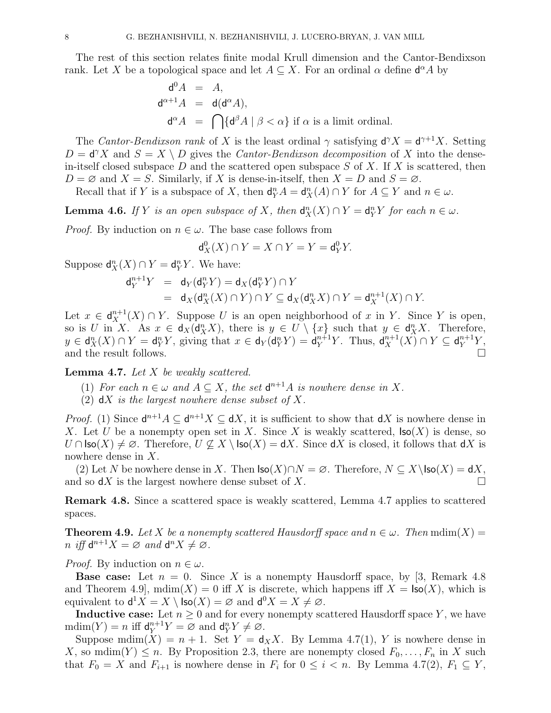The rest of this section relates finite modal Krull dimension and the Cantor-Bendixson rank. Let X be a topological space and let  $A \subseteq X$ . For an ordinal  $\alpha$  define  $\mathsf{d}^{\alpha}A$  by

$$
d^0 A = A,
$$
  
\n
$$
d^{\alpha+1} A = d(d^{\alpha} A),
$$
  
\n
$$
d^{\alpha} A = \bigcap \{d^{\beta} A \mid \beta < \alpha\} \text{ if } \alpha \text{ is a limit ordinal.}
$$

The Cantor-Bendixson rank of X is the least ordinal  $\gamma$  satisfying  $d^{\gamma}X = d^{\gamma+1}X$ . Setting  $D = d^{\gamma} X$  and  $S = X \setminus D$  gives the *Cantor-Bendixson decomposition* of X into the densein-itself closed subspace D and the scattered open subspace  $S$  of X. If X is scattered, then  $D = \emptyset$  and  $X = S$ . Similarly, if X is dense-in-itself, then  $X = D$  and  $S = \emptyset$ .

Recall that if Y is a subspace of X, then  $\mathsf{d}_Y^n A = \mathsf{d}_X^n(A) \cap Y$  for  $A \subseteq Y$  and  $n \in \omega$ .

**Lemma 4.6.** If Y is an open subspace of X, then  $d_X^n(X) \cap Y = d_Y^n Y$  for each  $n \in \omega$ .

*Proof.* By induction on  $n \in \omega$ . The base case follows from

$$
\mathsf{d}^0_X(X) \cap Y = X \cap Y = Y = \mathsf{d}^0_Y Y.
$$

Suppose  $\mathsf{d}^n_X(X) \cap Y = \mathsf{d}^n_Y Y$ . We have:

$$
\begin{array}{lcl} \mathsf{d}_Y^{n+1} Y & = & \mathsf{d}_Y(\mathsf{d}_Y^n Y) = \mathsf{d}_X(\mathsf{d}_Y^n Y) \cap Y \\ & = & \mathsf{d}_X(\mathsf{d}_X^n (X) \cap Y) \cap Y \subseteq \mathsf{d}_X(\mathsf{d}_X^n X) \cap Y = \mathsf{d}_X^{n+1} (X) \cap Y. \end{array}
$$

Let  $x \in d_X^{n+1}(X) \cap Y$ . Suppose U is an open neighborhood of x in Y. Since Y is open, so is U in X. As  $x \in d_X(d_X^n X)$ , there is  $y \in U \setminus \{x\}$  such that  $y \in d_X^n X$ . Therefore,  $y \in d_X^n(X) \cap Y = d_Y^n Y$ , giving that  $x \in d_Y(d_Y^n Y) = d_Y^{n+1} Y$ . Thus,  $d_X^{n+1}(X) \cap Y \subseteq d_Y^{n+1} Y$ , and the result follows.

**Lemma 4.7.** Let  $X$  be weakly scattered.

- (1) For each  $n \in \omega$  and  $A \subseteq X$ , the set  $d^{n+1}A$  is nowhere dense in X.
- (2)  $dX$  is the largest nowhere dense subset of X.

*Proof.* (1) Since  $d^{n+1}A \subseteq d^{n+1}X \subseteq dX$ , it is sufficient to show that  $dX$  is nowhere dense in X. Let U be a nonempty open set in X. Since X is weakly scattered,  $\textsf{Iso}(X)$  is dense, so  $U \cap \textsf{Iso}(X) \neq \emptyset$ . Therefore,  $U \nsubseteq X \setminus \textsf{Iso}(X) = dX$ . Since  $dX$  is closed, it follows that  $dX$  is nowhere dense in X.

(2) Let N be nowhere dense in X. Then  $\mathsf{Iso}(X) \cap N = \emptyset$ . Therefore,  $N \subseteq X \setminus \mathsf{Iso}(X) = \mathsf{d}X$ , and so  $dX$  is the largest nowhere dense subset of X.

Remark 4.8. Since a scattered space is weakly scattered, Lemma 4.7 applies to scattered spaces.

**Theorem 4.9.** Let X be a nonempty scattered Hausdorff space and  $n \in \omega$ . Then  $\text{mdim}(X) =$ n iff  $d^{n+1}X = \varnothing$  and  $d^nX \neq \varnothing$ .

*Proof.* By induction on  $n \in \omega$ .

**Base case:** Let  $n = 0$ . Since X is a nonempty Hausdorff space, by [3, Remark 4.8] and Theorem 4.9,  $\text{mdim}(X) = 0$  iff X is discrete, which happens iff  $X = \text{Iso}(X)$ , which is equivalent to  $d^1 X = X \setminus \text{Iso}(X) = \varnothing$  and  $d^0 X = X \neq \varnothing$ .

**Inductive case:** Let  $n \geq 0$  and for every nonempty scattered Hausdorff space Y, we have  $\text{mdim}(Y) = n \text{ iff } \mathsf{d}_Y^{n+1} Y = \varnothing \text{ and } \mathsf{d}_Y^n Y \neq \varnothing.$ 

Suppose mdim $(X) = n + 1$ . Set  $Y = d_X X$ . By Lemma 4.7(1), Y is nowhere dense in X, so mdim $(Y) \leq n$ . By Proposition 2.3, there are nonempty closed  $F_0, \ldots, F_n$  in X such that  $F_0 = X$  and  $F_{i+1}$  is nowhere dense in  $F_i$  for  $0 \le i < n$ . By Lemma 4.7(2),  $F_1 \subseteq Y$ ,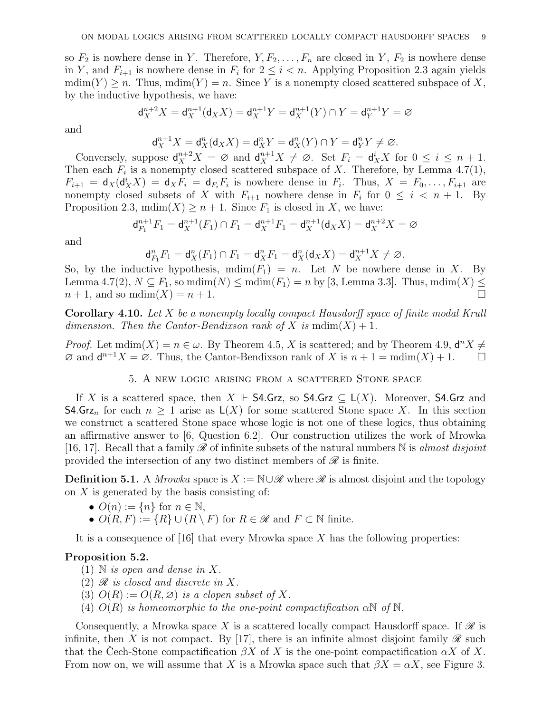so  $F_2$  is nowhere dense in Y. Therefore,  $Y, F_2, \ldots, F_n$  are closed in Y,  $F_2$  is nowhere dense in Y, and  $F_{i+1}$  is nowhere dense in  $F_i$  for  $2 \leq i \leq n$ . Applying Proposition 2.3 again yields  $\text{mdim}(Y) \geq n$ . Thus,  $\text{mdim}(Y) = n$ . Since Y is a nonempty closed scattered subspace of X, by the inductive hypothesis, we have:

$$
d_X^{n+2}X = d_X^{n+1}(d_X X) = d_X^{n+1}Y = d_X^{n+1}(Y) \cap Y = d_Y^{n+1}Y = \emptyset
$$

and

$$
\mathrm{d}_X^{n+1}X=\mathrm{d}_X^n(\mathrm{d}_XX)=\mathrm{d}_X^nY=\mathrm{d}_X^n(Y)\cap Y=\mathrm{d}_Y^nY\neq\varnothing.
$$

Conversely, suppose  $d_X^{n+2}X = \emptyset$  and  $d_X^{n+1}X \neq \emptyset$ . Set  $F_i = d_X^iX$  for  $0 \leq i \leq n+1$ . Then each  $F_i$  is a nonempty closed scattered subspace of X. Therefore, by Lemma 4.7(1),  $F_{i+1} = d_X(d_X^i X) = d_X F_i = d_{F_i} F_i$  is nowhere dense in  $F_i$ . Thus,  $X = F_0, \ldots, F_{i+1}$  are nonempty closed subsets of X with  $F_{i+1}$  nowhere dense in  $F_i$  for  $0 \leq i \leq n+1$ . By Proposition 2.3,  $\text{mdim}(X) \geq n+1$ . Since  $F_1$  is closed in X, we have:

$$
\mathsf{d}_{F_1}^{n+1}F_1 = \mathsf{d}_X^{n+1}(F_1) \cap F_1 = \mathsf{d}_X^{n+1}F_1 = \mathsf{d}_X^{n+1}(\mathsf{d}_X X) = \mathsf{d}_X^{n+2}X = \varnothing
$$

and

$$
\mathsf{d}_{F_1}^n F_1 = \mathsf{d}_X^n(F_1) \cap F_1 = \mathsf{d}_X^n F_1 = \mathsf{d}_X^n(\mathsf{d}_X X) = \mathsf{d}_X^{n+1} X \neq \varnothing.
$$

So, by the inductive hypothesis,  $\text{mdim}(F_1) = n$ . Let N be nowhere dense in X. By Lemma 4.7(2),  $N \subseteq F_1$ , so mdim $(N) \leq \text{mdim}(F_1) = n$  by [3, Lemma 3.3]. Thus, mdim $(X) \leq$  $n+1$ , and so mdim $(X) = n+1$ .

Corollary 4.10. Let X be a nonempty locally compact Hausdorff space of finite modal Krull dimension. Then the Cantor-Bendixson rank of X is  $\text{mdim}(X) + 1$ .

*Proof.* Let  $\text{mdim}(X) = n \in \omega$ . By Theorem 4.5, X is scattered; and by Theorem 4.9,  $\mathbf{d}^n X \neq$  $\varnothing$  and  $\mathsf{d}^{n+1}X = \varnothing$ . Thus, the Cantor-Bendixson rank of X is  $n+1 = \text{mdim}(X) + 1$ .

# 5. A new logic arising from a scattered Stone space

If X is a scattered space, then  $X \Vdash$  **S4.Grz**, so **S4.Grz**  $\subset L(X)$ . Moreover, **S4.Grz** and **S4.Grz**<sub>n</sub> for each  $n \geq 1$  arise as  $\mathsf{L}(X)$  for some scattered Stone space X. In this section we construct a scattered Stone space whose logic is not one of these logics, thus obtaining an affirmative answer to [6, Question 6.2]. Our construction utilizes the work of Mrowka [16, 17]. Recall that a family  $\mathscr R$  of infinite subsets of the natural numbers  $\mathbb N$  is almost disjoint provided the intersection of any two distinct members of  $\mathscr R$  is finite.

**Definition 5.1.** A Mrowka space is  $X := \mathbb{N} \cup \mathcal{R}$  where  $\mathcal{R}$  is almost disjoint and the topology on  $X$  is generated by the basis consisting of:

- $O(n) := \{n\}$  for  $n \in \mathbb{N}$ ,
- $O(R, F) := \{R\} \cup (R \setminus F)$  for  $R \in \mathcal{R}$  and  $F \subset \mathbb{N}$  finite.

It is a consequence of  $[16]$  that every Mrowka space X has the following properties:

### Proposition 5.2.

- $(1)$  N is open and dense in X.
- $(2)$   $\mathscr R$  is closed and discrete in X.
- (3)  $O(R) := O(R, \emptyset)$  is a clopen subset of X.
- (4)  $O(R)$  is homeomorphic to the one-point compactification  $\alpha \mathbb{N}$  of  $\mathbb{N}$ .

Consequently, a Mrowka space X is a scattered locally compact Hausdorff space. If  $\mathscr R$  is infinite, then X is not compact. By [17], there is an infinite almost disjoint family  $\mathscr R$  such that the Cech-Stone compactification  $\beta X$  of X is the one-point compactification  $\alpha X$  of X. From now on, we will assume that X is a Mrowka space such that  $\beta X = \alpha X$ , see Figure 3.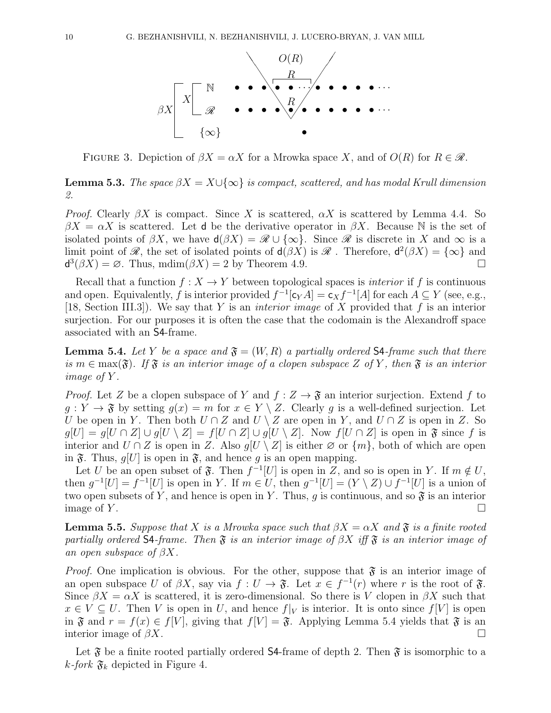

FIGURE 3. Depiction of  $\beta X = \alpha X$  for a Mrowka space X, and of  $O(R)$  for  $R \in \mathcal{R}$ .

**Lemma 5.3.** The space  $\beta X = X \cup \{\infty\}$  is compact, scattered, and has modal Krull dimension 2.

*Proof.* Clearly  $\beta X$  is compact. Since X is scattered,  $\alpha X$  is scattered by Lemma 4.4. So  $\beta X = \alpha X$  is scattered. Let d be the derivative operator in  $\beta X$ . Because N is the set of isolated points of  $\beta X$ , we have  $d(\beta X) = \mathscr{R} \cup {\infty}$ . Since  $\mathscr{R}$  is discrete in X and  $\infty$  is a limit point of  $\mathscr{R}$ , the set of isolated points of  $d(\beta X)$  is  $\mathscr{R}$ . Therefore,  $d^2(\beta X) = {\infty}$  and  $d^3(\beta X) = \emptyset$ . Thus, mdim $(\beta X) = 2$  by Theorem 4.9.

Recall that a function  $f: X \to Y$  between topological spaces is *interior* if f is continuous and open. Equivalently, f is interior provided  $f^{-1}[\mathsf{c}_Y A] = \mathsf{c}_X f^{-1}[A]$  for each  $A \subseteq Y$  (see, e.g., [18, Section III.3]). We say that Y is an *interior image* of X provided that f is an interior surjection. For our purposes it is often the case that the codomain is the Alexandroff space associated with an S4-frame.

**Lemma 5.4.** Let Y be a space and  $\mathfrak{F} = (W, R)$  a partially ordered S4-frame such that there is  $m \in \max(\mathfrak{F})$ . If  $\mathfrak{F}$  is an interior image of a clopen subspace Z of Y, then  $\mathfrak{F}$  is an interior image of Y .

*Proof.* Let Z be a clopen subspace of Y and  $f : Z \to \mathfrak{F}$  an interior surjection. Extend f to  $g: Y \to \mathfrak{F}$  by setting  $g(x) = m$  for  $x \in Y \setminus Z$ . Clearly g is a well-defined surjection. Let U be open in Y. Then both  $U \cap Z$  and  $U \setminus Z$  are open in Y, and  $U \cap Z$  is open in Z. So  $g[U] = g[U \cap Z] \cup g[U \setminus Z] = f[U \cap Z] \cup g[U \setminus Z]$ . Now  $f[U \cap Z]$  is open in  $\mathfrak{F}$  since f is interior and  $U \cap Z$  is open in Z. Also  $g[U \setminus Z]$  is either  $\emptyset$  or  $\{m\}$ , both of which are open in  $\mathfrak{F}$ . Thus,  $q[U]$  is open in  $\mathfrak{F}$ , and hence q is an open mapping.

Let U be an open subset of  $\mathfrak{F}$ . Then  $f^{-1}[U]$  is open in Z, and so is open in Y. If  $m \notin U$ , then  $g^{-1}[U] = f^{-1}[U]$  is open in Y. If  $m \in U$ , then  $g^{-1}[U] = (Y \setminus Z) \cup f^{-1}[U]$  is a union of two open subsets of Y, and hence is open in Y. Thus, q is continuous, and so  $\mathfrak{F}$  is an interior image of  $Y$ .

**Lemma 5.5.** Suppose that X is a Mrowka space such that  $\beta X = \alpha X$  and  $\mathfrak{F}$  is a finite rooted partially ordered S4-frame. Then  $\mathfrak F$  is an interior image of  $\beta X$  iff  $\mathfrak F$  is an interior image of an open subspace of  $\beta X$ .

*Proof.* One implication is obvious. For the other, suppose that  $\mathfrak{F}$  is an interior image of an open subspace U of  $\beta X$ , say via  $f: U \to \mathfrak{F}$ . Let  $x \in f^{-1}(r)$  where r is the root of  $\mathfrak{F}$ . Since  $\beta X = \alpha X$  is scattered, it is zero-dimensional. So there is V clopen in  $\beta X$  such that  $x \in V \subseteq U$ . Then V is open in U, and hence  $f|_V$  is interior. It is onto since  $f|_V$  is open in  $\mathfrak F$  and  $r = f(x) \in f[V]$ , giving that  $f[V] = \mathfrak F$ . Applying Lemma 5.4 yields that  $\mathfrak F$  is an interior image of  $\beta X$ .

Let  $\mathfrak F$  be a finite rooted partially ordered S4-frame of depth 2. Then  $\mathfrak F$  is isomorphic to a k-fork  $\mathfrak{F}_k$  depicted in Figure 4.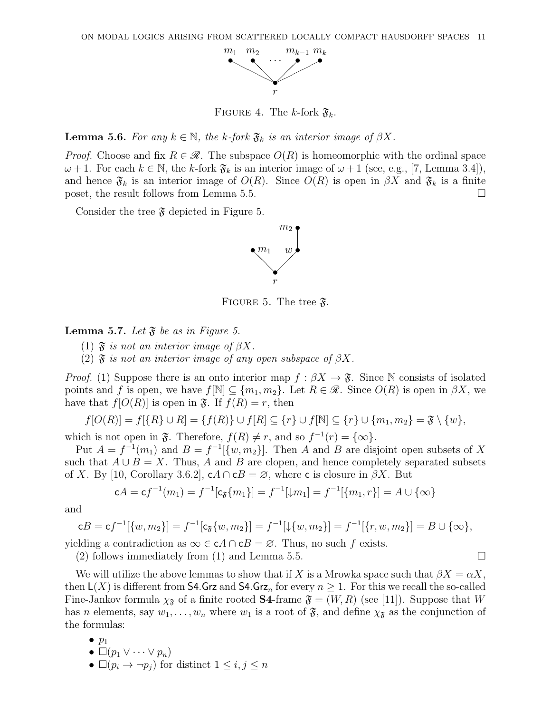

FIGURE 4. The k-fork  $\mathfrak{F}_k$ .

**Lemma 5.6.** For any  $k \in \mathbb{N}$ , the k-fork  $\mathfrak{F}_k$  is an interior image of  $\beta X$ .

*Proof.* Choose and fix  $R \in \mathcal{R}$ . The subspace  $O(R)$  is homeomorphic with the ordinal space  $\omega + 1$ . For each  $k \in \mathbb{N}$ , the k-fork  $\mathfrak{F}_k$  is an interior image of  $\omega + 1$  (see, e.g., [7, Lemma 3.4]), and hence  $\mathfrak{F}_k$  is an interior image of  $O(R)$ . Since  $O(R)$  is open in  $\beta X$  and  $\mathfrak{F}_k$  is a finite poset, the result follows from Lemma 5.5.

Consider the tree  $\mathfrak F$  depicted in Figure 5.



FIGURE 5. The tree  $\mathfrak{F}$ .

**Lemma 5.7.** Let  $\mathfrak{F}$  be as in Figure 5.

(1)  $\mathfrak{F}$  is not an interior image of  $\beta X$ .

(2)  $\mathfrak F$  is not an interior image of any open subspace of  $\beta X$ .

*Proof.* (1) Suppose there is an onto interior map  $f : \beta X \to \mathfrak{F}$ . Since N consists of isolated points and f is open, we have  $f[\mathbb{N}] \subseteq \{m_1, m_2\}$ . Let  $R \in \mathcal{R}$ . Since  $O(R)$  is open in  $\beta X$ , we have that  $f[O(R)]$  is open in  $\mathfrak{F}$ . If  $f(R) = r$ , then

$$
f[O(R)] = f[\{R\} \cup R] = \{f(R)\} \cup f[R] \subseteq \{r\} \cup f[\mathbb{N}] \subseteq \{r\} \cup \{m_1, m_2\} = \mathfrak{F} \setminus \{w\},\
$$

which is not open in  $\mathfrak{F}$ . Therefore,  $f(R) \neq r$ , and so  $f^{-1}(r) = {\infty}$ .

Put  $A = f^{-1}(m_1)$  and  $B = f^{-1}(\{w, m_2\})$ . Then A and B are disjoint open subsets of X such that  $A \cup B = X$ . Thus, A and B are clopen, and hence completely separated subsets of X. By [10, Corollary 3.6.2],  $cA \cap cB = \emptyset$ , where c is closure in  $\beta X$ . But

$$
cA = cf^{-1}(m_1) = f^{-1}[c_{\mathfrak{F}}\{m_1\}] = f^{-1}[\downarrow m_1] = f^{-1}[\{m_1, r\}] = A \cup \{\infty\}
$$

and

$$
cB = cf^{-1}[\{w, m_2\}] = f^{-1}[c_{\mathfrak{F}}\{w, m_2\}] = f^{-1}[\downarrow \{w, m_2\}] = f^{-1}[\{r, w, m_2\}] = B \cup \{\infty\},\
$$

yielding a contradiction as  $\infty \in cA \cap cB = \emptyset$ . Thus, no such f exists.

(2) follows immediately from (1) and Lemma 5.5.  $\Box$ 

We will utilize the above lemmas to show that if X is a Mrowka space such that  $\beta X = \alpha X$ , then  $\mathsf{L}(X)$  is different from **S4.Grz** and **S4.Grz**<sub>n</sub> for every  $n \geq 1$ . For this we recall the so-called Fine-Jankov formula  $\chi_{\tilde{x}}$  of a finite rooted **S4**-frame  $\tilde{y} = (W, R)$  (see [11]). Suppose that W has n elements, say  $w_1, \ldots, w_n$  where  $w_1$  is a root of  $\mathfrak{F}$ , and define  $\chi_{\mathfrak{F}}$  as the conjunction of the formulas:

- $\bullet$   $p_1$
- $\bullet \Box (p_1 \lor \cdots \lor p_n)$
- $\Box(p_i \rightarrow \neg p_j)$  for distinct  $1 \leq i, j \leq n$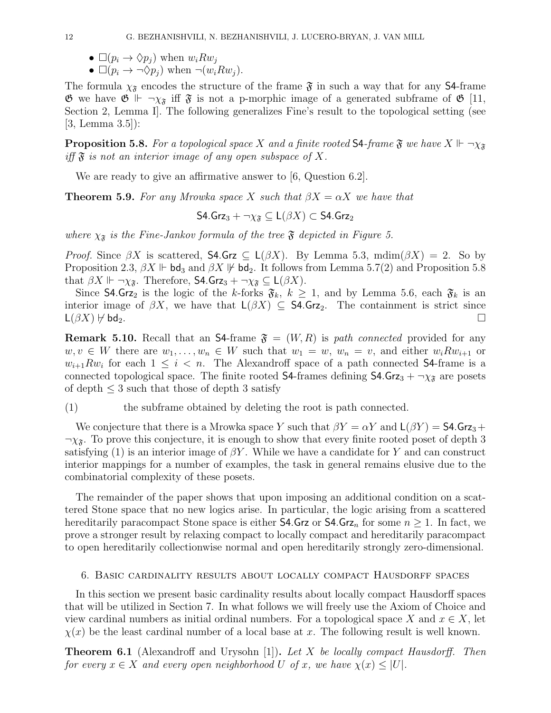- $\Box (p_i \rightarrow \Diamond p_j)$  when  $w_i R w_j$
- $\square(p_i \rightarrow \neg \Diamond p_j)$  when  $\neg(w_i R w_j)$ .

The formula  $\chi_{\tilde{\mathfrak{F}}}$  encodes the structure of the frame  $\tilde{\mathfrak{F}}$  in such a way that for any S4-frame  $\mathfrak{G}$  we have  $\mathfrak{G} \Vdash \neg \chi_{\mathfrak{F}}$  iff  $\mathfrak{F}$  is not a p-morphic image of a generated subframe of  $\mathfrak{G}$  [11, Section 2, Lemma I]. The following generalizes Fine's result to the topological setting (see [3, Lemma 3.5]):

**Proposition 5.8.** For a topological space X and a finite rooted **S4**-frame  $\mathfrak{F}$  we have  $X \Vdash \neg \chi_{\mathfrak{F}}$ iff  $\mathfrak F$  is not an interior image of any open subspace of X.

We are ready to give an affirmative answer to [6, Question 6.2].

**Theorem 5.9.** For any Mrowka space X such that  $\beta X = \alpha X$  we have that

S4.Grz<sub>3</sub> +  $\neg \chi_{\mathfrak{F}} \subset L(\beta X) \subset S4$ .Grz<sub>2</sub>

where  $\chi_{\mathfrak{F}}$  is the Fine-Jankov formula of the tree  $\mathfrak{F}$  depicted in Figure 5.

*Proof.* Since  $\beta X$  is scattered, **S4.Grz**  $\subseteq L(\beta X)$ . By Lemma 5.3, mdim( $\beta X$ ) = 2. So by Proposition 2.3,  $\beta X \Vdash \mathsf{bd}_3$  and  $\beta X \Vdash \mathsf{bd}_2$ . It follows from Lemma 5.7(2) and Proposition 5.8 that  $\beta X \Vdash \neg \chi_{\mathfrak{F}}$ . Therefore, **S4.Grz**<sub>3</sub> +  $\neg \chi_{\mathfrak{F}} \subseteq L(\beta X)$ .

Since **S4.Gr**z<sub>2</sub> is the logic of the k-forks  $\mathfrak{F}_k$ ,  $k \geq 1$ , and by Lemma 5.6, each  $\mathfrak{F}_k$  is an interior image of  $\beta X$ , we have that  $\mathsf{L}(\beta X) \subseteq \mathsf{S4}.\mathsf{Grz}_2$ . The containment is strict since  $\mathsf{L}(\beta X) \not\vdash \mathsf{bd}_2.$ 

**Remark 5.10.** Recall that an S4-frame  $\mathfrak{F} = (W, R)$  is path connected provided for any  $w, v \in W$  there are  $w_1, \ldots, w_n \in W$  such that  $w_1 = w, w_n = v$ , and either  $w_i R w_{i+1}$  or  $w_{i+1}Rw_i$  for each  $1 \leq i \leq n$ . The Alexandroff space of a path connected S4-frame is a connected topological space. The finite rooted **S4-**frames defining **S4.Grz**<sub>3</sub> +  $\neg \chi_{\tilde{\sigma}}$  are posets of depth  $\leq$  3 such that those of depth 3 satisfy

(1) the subframe obtained by deleting the root is path connected.

We conjecture that there is a Mrowka space Y such that  $\beta Y = \alpha Y$  and  $\mathsf{L}(\beta Y) = \mathsf{S4}.\mathsf{Grz}_3 +$  $\neg \chi_{\mathfrak{F}}$ . To prove this conjecture, it is enough to show that every finite rooted poset of depth 3 satisfying (1) is an interior image of  $\beta Y$ . While we have a candidate for Y and can construct interior mappings for a number of examples, the task in general remains elusive due to the combinatorial complexity of these posets.

The remainder of the paper shows that upon imposing an additional condition on a scattered Stone space that no new logics arise. In particular, the logic arising from a scattered hereditarily paracompact Stone space is either **S4.Grz** or **S4.Grz**<sub>n</sub> for some  $n \geq 1$ . In fact, we prove a stronger result by relaxing compact to locally compact and hereditarily paracompact to open hereditarily collectionwise normal and open hereditarily strongly zero-dimensional.

#### 6. Basic cardinality results about locally compact Hausdorff spaces

In this section we present basic cardinality results about locally compact Hausdorff spaces that will be utilized in Section 7. In what follows we will freely use the Axiom of Choice and view cardinal numbers as initial ordinal numbers. For a topological space X and  $x \in X$ , let  $\chi(x)$  be the least cardinal number of a local base at x. The following result is well known.

**Theorem 6.1** (Alexandroff and Urysohn [1]). Let X be locally compact Hausdorff. Then for every  $x \in X$  and every open neighborhood U of x, we have  $\chi(x) \leq |U|$ .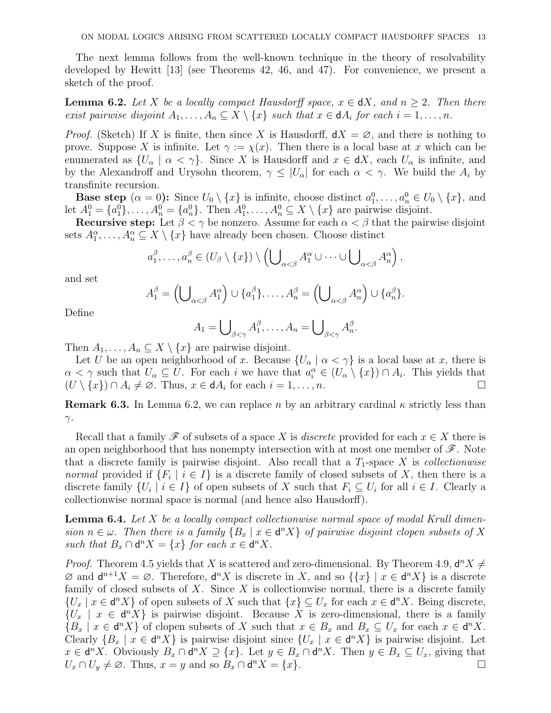The next lemma follows from the well-known technique in the theory of resolvability developed by Hewitt [13] (see Theorems 42, 46, and 47). For convenience, we present a sketch of the proof.

**Lemma 6.2.** Let X be a locally compact Hausdorff space,  $x \in dX$ , and  $n \geq 2$ . Then there exist pairwise disjoint  $A_1, \ldots, A_n \subseteq X \setminus \{x\}$  such that  $x \in dA_i$  for each  $i = 1, \ldots, n$ .

*Proof.* (Sketch) If X is finite, then since X is Hausdorff,  $dX = \emptyset$ , and there is nothing to prove. Suppose X is infinite. Let  $\gamma := \chi(x)$ . Then there is a local base at x which can be enumerated as  $\{U_\alpha \mid \alpha < \gamma\}$ . Since X is Hausdorff and  $x \in dX$ , each  $U_\alpha$  is infinite, and by the Alexandroff and Urysohn theorem,  $\gamma \leq |U_{\alpha}|$  for each  $\alpha < \gamma$ . We build the  $A_i$  by transfinite recursion.

**Base step**  $(\alpha = 0)$ : Since  $U_0 \setminus \{x\}$  is infinite, choose distinct  $a_1^0, \ldots, a_n^0 \in U_0 \setminus \{x\}$ , and let  $A_1^0 = \{a_1^0\}, \ldots, A_n^0 = \{a_n^0\}.$  Then  $A_1^0, \ldots, A_n^0 \subseteq X \setminus \{x\}$  are pairwise disjoint.

Recursive step: Let  $\beta < \gamma$  be nonzero. Assume for each  $\alpha < \beta$  that the pairwise disjoint sets  $A_1^{\alpha}, \ldots, A_n^{\alpha} \subseteq X \setminus \{x\}$  have already been chosen. Choose distinct

$$
a_1^{\beta},\ldots,a_n^{\beta}\in (U_{\beta}\setminus\{x\})\setminus\left(\bigcup_{\alpha<\beta}A_1^{\alpha}\cup\cdots\cup\bigcup_{\alpha<\beta}A_n^{\alpha}\right),
$$

and set

$$
A_1^{\beta} = \left( \bigcup_{\alpha < \beta} A_1^{\alpha} \right) \cup \{a_1^{\beta}\}, \dots, A_n^{\beta} = \left( \bigcup_{\alpha < \beta} A_n^{\alpha} \right) \cup \{a_n^{\beta}\}.
$$

Define

$$
A_1 = \bigcup_{\beta < \gamma} A_1^{\beta}, \dots, A_n = \bigcup_{\beta < \gamma} A_n^{\beta}.
$$

Then  $A_1, \ldots, A_n \subseteq X \setminus \{x\}$  are pairwise disjoint.

Let U be an open neighborhood of x. Because  $\{U_{\alpha} \mid \alpha < \gamma\}$  is a local base at x, there is  $\alpha < \gamma$  such that  $U_{\alpha} \subseteq U$ . For each i we have that  $a_i^{\alpha} \in (U_{\alpha} \setminus \{x\}) \cap A_i$ . This yields that  $(U \setminus \{x\}) \cap A_i \neq \emptyset$ . Thus,  $x \in dA_i$  for each  $i = 1, ..., n$ .

**Remark 6.3.** In Lemma 6.2, we can replace n by an arbitrary cardinal  $\kappa$  strictly less than  $γ.$ 

Recall that a family  $\mathscr F$  of subsets of a space X is *discrete* provided for each  $x \in X$  there is an open neighborhood that has nonempty intersection with at most one member of  $\mathscr F$ . Note that a discrete family is pairwise disjoint. Also recall that a  $T_1$ -space X is *collectionwise normal* provided if  $\{F_i \mid i \in I\}$  is a discrete family of closed subsets of X, then there is a discrete family  $\{U_i \mid i \in I\}$  of open subsets of X such that  $F_i \subseteq U_i$  for all  $i \in I$ . Clearly a collectionwise normal space is normal (and hence also Hausdorff).

**Lemma 6.4.** Let X be a locally compact collectionwise normal space of modal Krull dimension  $n \in \omega$ . Then there is a family  $\{B_x \mid x \in d^nX\}$  of pairwise disjoint clopen subsets of X such that  $B_x \cap d^n X = \{x\}$  for each  $x \in d^n X$ .

*Proof.* Theorem 4.5 yields that X is scattered and zero-dimensional. By Theorem 4.9,  $d^n X \neq$  $\emptyset$  and  $\mathsf{d}^{n+1}X = \emptyset$ . Therefore,  $\mathsf{d}^nX$  is discrete in X, and so  $\{\{x\} \mid x \in \mathsf{d}^nX\}$  is a discrete family of closed subsets of  $X$ . Since  $X$  is collectionwise normal, there is a discrete family  $\{U_x \mid x \in d^n X\}$  of open subsets of X such that  $\{x\} \subseteq U_x$  for each  $x \in d^n X$ . Being discrete,  ${U_x \mid x \in d^nX}$  is pairwise disjoint. Because X is zero-dimensional, there is a family  ${B_x \mid x \in d^nX}$  of clopen subsets of X such that  $x \in B_x$  and  $B_x \subseteq U_x$  for each  $x \in d^nX$ . Clearly  $\{B_x \mid x \in d^n X\}$  is pairwise disjoint since  $\{U_x \mid x \in d^n X\}$  is pairwise disjoint. Let  $x \in d^n X$ . Obviously  $B_x \cap d^n X \supseteq \{x\}$ . Let  $y \in B_x \cap d^n X$ . Then  $y \in B_x \subseteq U_x$ , giving that  $U_x \cap U_y \neq \emptyset$ . Thus,  $x = y$  and so  $B_x \cap d^n X = \{x\}.$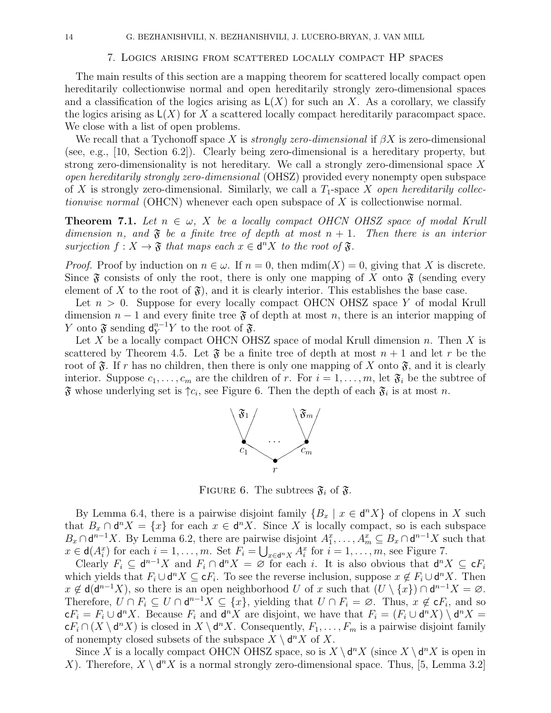### 7. Logics arising from scattered locally compact HP spaces

The main results of this section are a mapping theorem for scattered locally compact open hereditarily collectionwise normal and open hereditarily strongly zero-dimensional spaces and a classification of the logics arising as  $\mathsf{L}(X)$  for such an X. As a corollary, we classify the logics arising as  $\mathsf{L}(X)$  for X a scattered locally compact hereditarily paracompact space. We close with a list of open problems.

We recall that a Tychonoff space X is *strongly zero-dimensional* if  $\beta X$  is zero-dimensional (see, e.g., [10, Section 6.2]). Clearly being zero-dimensional is a hereditary property, but strong zero-dimensionality is not hereditary. We call a strongly zero-dimensional space X open hereditarily strongly zero-dimensional (OHSZ) provided every nonempty open subspace of X is strongly zero-dimensional. Similarly, we call a  $T_1$ -space X *open hereditarily collec*tionwise normal (OHCN) whenever each open subspace of X is collectionwise normal.

**Theorem 7.1.** Let  $n \in \omega$ , X be a locally compact OHCN OHSZ space of modal Krull dimension n, and  $\mathfrak F$  be a finite tree of depth at most  $n+1$ . Then there is an interior surjection  $f: X \to \mathfrak{F}$  that maps each  $x \in \mathsf{d}^n X$  to the root of  $\mathfrak{F}$ .

*Proof.* Proof by induction on  $n \in \omega$ . If  $n = 0$ , then  $\text{mdim}(X) = 0$ , giving that X is discrete. Since  $\mathfrak F$  consists of only the root, there is only one mapping of X onto  $\mathfrak F$  (sending every element of X to the root of  $\mathfrak{F}$ ), and it is clearly interior. This establishes the base case.

Let  $n > 0$ . Suppose for every locally compact OHCN OHSZ space Y of modal Krull dimension  $n-1$  and every finite tree  $\mathfrak F$  of depth at most n, there is an interior mapping of Y onto  $\mathfrak{F}$  sending  $\mathsf{d}_Y^{n-1} Y$  to the root of  $\mathfrak{F}$ .

Let X be a locally compact OHCN OHSZ space of modal Krull dimension  $n$ . Then X is scattered by Theorem 4.5. Let  $\mathfrak F$  be a finite tree of depth at most  $n+1$  and let r be the root of  $\mathfrak{F}$ . If r has no children, then there is only one mapping of X onto  $\mathfrak{F}$ , and it is clearly interior. Suppose  $c_1, \ldots, c_m$  are the children of r. For  $i = 1, \ldots, m$ , let  $\mathfrak{F}_i$  be the subtree of  $\mathfrak F$  whose underlying set is  $\uparrow c_i$ , see Figure 6. Then the depth of each  $\mathfrak F_i$  is at most n.



FIGURE 6. The subtrees  $\mathfrak{F}_i$  of  $\mathfrak{F}$ .

By Lemma 6.4, there is a pairwise disjoint family  ${B_x | x \in d^n X}$  of clopens in X such that  $B_x \cap d^n X = \{x\}$  for each  $x \in d^n X$ . Since X is locally compact, so is each subspace  $B_x \cap \mathsf{d}^{n-1}X$ . By Lemma 6.2, there are pairwise disjoint  $A_1^x, \ldots, A_m^x \subseteq B_x \cap \mathsf{d}^{n-1}X$  such that  $x \in d(A_i^x)$  for each  $i = 1, ..., m$ . Set  $F_i = \bigcup_{x \in d^n X} A_i^x$  for  $i = 1, ..., m$ , see Figure 7.

Clearly  $F_i \subseteq d^{n-1}X$  and  $F_i \cap d^nX = \emptyset$  for each i. It is also obvious that  $d^nX \subseteq cF_i$ which yields that  $F_i \cup d^n X \subseteq cF_i$ . To see the reverse inclusion, suppose  $x \notin F_i \cup d^n X$ . Then  $x \notin d(d^{n-1}X)$ , so there is an open neighborhood U of x such that  $(U \setminus \{x\}) \cap d^{n-1}X = \emptyset$ . Therefore,  $U \cap F_i \subseteq U \cap d^{n-1}X \subseteq \{x\}$ , yielding that  $U \cap F_i = \emptyset$ . Thus,  $x \notin cF_i$ , and so  $\mathsf{c} F_i = F_i \cup \mathsf{d}^n X$ . Because  $F_i$  and  $\mathsf{d}^n X$  are disjoint, we have that  $F_i = (F_i \cup \mathsf{d}^n X) \setminus \mathsf{d}^n X =$  $\mathsf{c} F_i \cap (X \setminus \mathsf{d}^n X)$  is closed in  $X \setminus \mathsf{d}^n X$ . Consequently,  $F_1, \ldots, F_m$  is a pairwise disjoint family of nonempty closed subsets of the subspace  $X \setminus d^n X$  of X.

Since X is a locally compact OHCN OHSZ space, so is  $X \setminus d^n X$  (since  $X \setminus d^n X$  is open in X). Therefore,  $X \setminus d^n X$  is a normal strongly zero-dimensional space. Thus, [5, Lemma 3.2]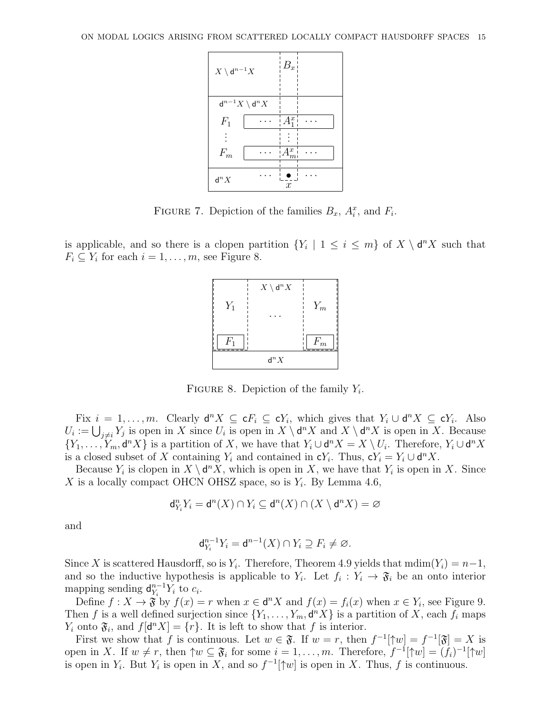

FIGURE 7. Depiction of the families  $B_x$ ,  $A_i^x$ , and  $F_i$ .

is applicable, and so there is a clopen partition  ${Y_i \mid 1 \leq i \leq m}$  of  $X \setminus d^n X$  such that  $F_i \subseteq Y_i$  for each  $i = 1, \ldots, m$ , see Figure 8.



FIGURE 8. Depiction of the family  $Y_i$ .

Fix  $i = 1, \ldots, m$ . Clearly  $\mathsf{d}^n X \subseteq \mathsf{c} F_i \subseteq \mathsf{c} Y_i$ , which gives that  $Y_i \cup \mathsf{d}^n X \subseteq \mathsf{c} Y_i$ . Also  $U_i := \bigcup_{j \neq i} Y_j$  is open in X since  $U_i$  is open in  $X \setminus \mathsf{d}^n X$  and  $X \setminus \mathsf{d}^n X$  is open in X. Because  $\{Y_1,\ldots,Y_m,\mathsf{d}^nX\}$  is a partition of X, we have that  $Y_i\cup\mathsf{d}^nX=X\setminus U_i$ . Therefore,  $Y_i\cup\mathsf{d}^nX$ is a closed subset of X containing  $Y_i$  and contained in  $\mathsf{c} Y_i$ . Thus,  $\mathsf{c} Y_i = Y_i \cup \mathsf{d}^n X$ .

Because  $Y_i$  is clopen in  $X \setminus d^n X$ , which is open in X, we have that  $Y_i$  is open in X. Since X is a locally compact OHCN OHSZ space, so is  $Y_i$ . By Lemma 4.6,

$$
\mathrm{d}_{Y_i}^n Y_i = \mathrm{d}^n(X) \cap Y_i \subseteq \mathrm{d}^n(X) \cap (X \setminus \mathrm{d}^n X) = \varnothing
$$

and

$$
\mathrm{d}_{Y_i}^{n-1} Y_i = \mathrm{d}^{n-1}(X) \cap Y_i \supseteq F_i \neq \varnothing.
$$

Since X is scattered Hausdorff, so is  $Y_i$ . Therefore, Theorem 4.9 yields that  $\text{mdim}(Y_i) = n-1$ , and so the inductive hypothesis is applicable to  $Y_i$ . Let  $f_i: Y_i \to \mathfrak{F}_i$  be an onto interior mapping sending  $\mathsf{d}_{V_i}^{n-1}$  $\frac{n-1}{Y_i} Y_i$  to  $c_i$ .

Define  $f: X \to \mathfrak{F}$  by  $f(x) = r$  when  $x \in \mathsf{d}^n X$  and  $f(x) = f_i(x)$  when  $x \in Y_i$ , see Figure 9. Then f is a well defined surjection since  $\{Y_1, \ldots, Y_m, \mathbf{d}^n X\}$  is a partition of X, each  $f_i$  maps  $Y_i$  onto  $\mathfrak{F}_i$ , and  $f[\mathbf{d}^n X] = \{r\}$ . It is left to show that f is interior.

First we show that f is continuous. Let  $w \in \mathfrak{F}$ . If  $w = r$ , then  $f^{-1}[\mathfrak{f}w] = f^{-1}[\mathfrak{F}] = X$  is open in X. If  $w \neq r$ , then  $\uparrow w \subseteq \mathfrak{F}_i$  for some  $i = 1, \ldots, m$ . Therefore,  $f^{-1}[\uparrow w] = (f_i)^{-1}[\uparrow w]$ is open in  $Y_i$ . But  $Y_i$  is open in X, and so  $f^{-1}[\uparrow w]$  is open in X. Thus, f is continuous.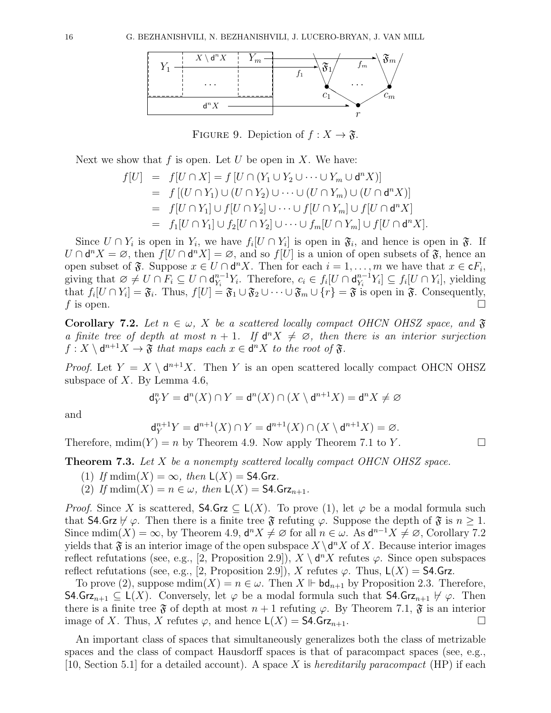

FIGURE 9. Depiction of  $f: X \to \mathfrak{F}$ .

Next we show that  $f$  is open. Let  $U$  be open in  $X$ . We have:

$$
f[U] = f[U \cap X] = f[U \cap (Y_1 \cup Y_2 \cup \cdots \cup Y_m \cup \mathbf{d}^n X)]
$$
  
= 
$$
f[(U \cap Y_1) \cup (U \cap Y_2) \cup \cdots \cup (U \cap Y_m) \cup (U \cap \mathbf{d}^n X)]
$$
  
= 
$$
f[U \cap Y_1] \cup f[U \cap Y_2] \cup \cdots \cup f[U \cap Y_m] \cup f[U \cap \mathbf{d}^n X]
$$
  
= 
$$
f_1[U \cap Y_1] \cup f_2[U \cap Y_2] \cup \cdots \cup f_m[U \cap Y_m] \cup f[U \cap \mathbf{d}^n X].
$$

Since  $U \cap Y_i$  is open in  $Y_i$ , we have  $f_i[U \cap Y_i]$  is open in  $\mathfrak{F}_i$ , and hence is open in  $\mathfrak{F}_i$ . If  $U \cap d^n X = \emptyset$ , then  $f[U \cap d^n X] = \emptyset$ , and so  $f[U]$  is a union of open subsets of  $\mathfrak{F}$ , hence an open subset of  $\mathfrak{F}$ . Suppose  $x \in U \cap d^n X$ . Then for each  $i = 1, \ldots, m$  we have that  $x \in cF_i$ , giving that  $\varnothing \neq U \cap F_i \subseteq U \cap \mathsf{d}_{Y_i}^{n-1}$  $Y_i^{n-1}Y_i$ . Therefore,  $c_i \in f_i[U \cap \mathsf{d}_{Y_i}^{n-1}]$  $Y_i^{n-1}Y_i] \subseteq f_i[U \cap Y_i]$ , yielding that  $f_i[U \cap Y_i] = \mathfrak{F}_i$ . Thus,  $f[U] = \mathfrak{F}_1 \cup \mathfrak{F}_2 \cup \cdots \cup \mathfrak{F}_m \cup \{r\} = \mathfrak{F}$  is open in  $\mathfrak{F}$ . Consequently, f is open.

**Corollary 7.2.** Let  $n \in \omega$ , X be a scattered locally compact OHCN OHSZ space, and  $\mathfrak{F}$ a finite tree of depth at most  $n + 1$ . If  $d^n X \neq \emptyset$ , then there is an interior surjection  $f: X \setminus d^{n+1}X \to \mathfrak{F}$  that maps each  $x \in d^nX$  to the root of  $\mathfrak{F}$ .

*Proof.* Let  $Y = X \setminus d^{n+1}X$ . Then Y is an open scattered locally compact OHCN OHSZ subspace of  $X$ . By Lemma 4.6,

$$
\mathrm{d}_Y^n Y = \mathrm{d}^n(X) \cap Y = \mathrm{d}^n(X) \cap (X \setminus \mathrm{d}^{n+1} X) = \mathrm{d}^n X \neq \varnothing
$$

and

$$
\mathsf{d}_Y^{n+1}Y = \mathsf{d}^{n+1}(X) \cap Y = \mathsf{d}^{n+1}(X) \cap (X \setminus \mathsf{d}^{n+1}X) = \varnothing.
$$

Therefore,  $\text{mdim}(Y) = n$  by Theorem 4.9. Now apply Theorem 7.1 to Y.

**Theorem 7.3.** Let  $X$  be a nonempty scattered locally compact OHCN OHSZ space.

- (1) If  $\text{mdim}(X) = \infty$ , then  $\mathsf{L}(X) = \mathsf{S4}.\mathsf{Grz}.$
- (2) If  $\text{mdim}(X) = n \in \omega$ , then  $\mathsf{L}(X) = \mathsf{S4}.\mathsf{Grz}_{n+1}$ .

*Proof.* Since X is scattered,  $\mathsf{S4.Grz} \subseteq \mathsf{L}(X)$ . To prove (1), let  $\varphi$  be a modal formula such that S4.Grz  $\nvdash \varphi$ . Then there is a finite tree  $\mathfrak F$  refuting  $\varphi$ . Suppose the depth of  $\mathfrak F$  is  $n \geq 1$ . Since mdim(X) =  $\infty$ , by Theorem 4.9,  $\mathsf{d}^n X \neq \emptyset$  for all  $n \in \omega$ . As  $\mathsf{d}^{n-1} X \neq \emptyset$ , Corollary 7.2 yields that  $\mathfrak F$  is an interior image of the open subspace  $X \setminus d^n X$  of X. Because interior images reflect refutations (see, e.g., [2, Proposition 2.9]),  $X \setminus d^n X$  refutes  $\varphi$ . Since open subspaces reflect refutations (see, e.g., [2, Proposition 2.9]), X refutes  $\varphi$ . Thus,  $\mathsf{L}(X) = \mathsf{S4}.\mathsf{Grz}.$ 

To prove (2), suppose  $\text{mdim}(X) = n \in \omega$ . Then  $X \Vdash \text{bd}_{n+1}$  by Proposition 2.3. Therefore, S4.Grz<sub>n+1</sub> ⊆ L(X). Conversely, let  $\varphi$  be a modal formula such that S4.Grz<sub>n+1</sub>  $\forall \varphi$ . Then there is a finite tree  $\mathfrak F$  of depth at most  $n+1$  refuting  $\varphi$ . By Theorem 7.1,  $\mathfrak F$  is an interior image of X. Thus, X refutes  $\varphi$ , and hence  $\mathsf{L}(X) = \mathsf{S4} \cdot \mathsf{Grz}_{n+1}$ .

An important class of spaces that simultaneously generalizes both the class of metrizable spaces and the class of compact Hausdorff spaces is that of paracompact spaces (see, e.g., [10, Section 5.1] for a detailed account). A space X is hereditarily paracompact (HP) if each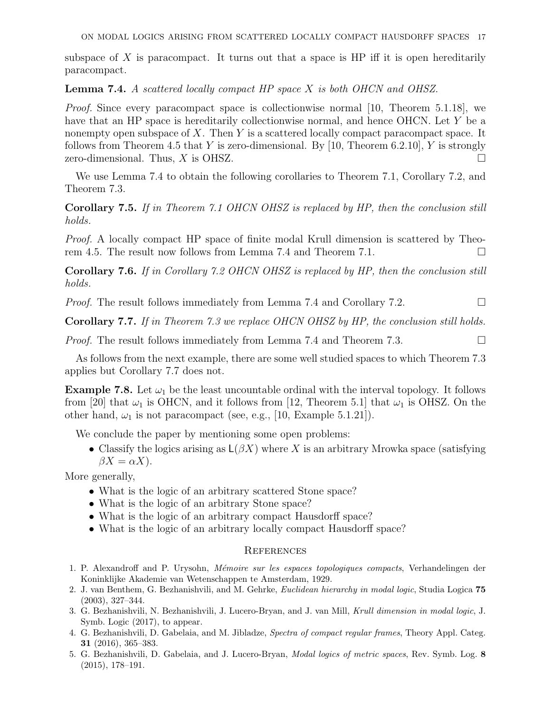subspace of X is paracompact. It turns out that a space is HP iff it is open hereditarily paracompact.

**Lemma 7.4.** A scattered locally compact HP space  $X$  is both OHCN and OHSZ.

*Proof.* Since every paracompact space is collectionwise normal [10, Theorem 5.1.18], we have that an HP space is hereditarily collectionwise normal, and hence OHCN. Let Y be a nonempty open subspace of  $X$ . Then  $Y$  is a scattered locally compact paracompact space. It follows from Theorem 4.5 that Y is zero-dimensional. By [10, Theorem 6.2.10], Y is strongly zero-dimensional. Thus, X is OHSZ.  $\square$ 

We use Lemma 7.4 to obtain the following corollaries to Theorem 7.1, Corollary 7.2, and Theorem 7.3.

Corollary 7.5. If in Theorem 7.1 OHCN OHSZ is replaced by HP, then the conclusion still holds.

Proof. A locally compact HP space of finite modal Krull dimension is scattered by Theorem 4.5. The result now follows from Lemma 7.4 and Theorem 7.1.

Corollary 7.6. If in Corollary 7.2 OHCN OHSZ is replaced by HP, then the conclusion still holds.

*Proof.* The result follows immediately from Lemma 7.4 and Corollary 7.2.

Corollary 7.7. If in Theorem 7.3 we replace OHCN OHSZ by HP, the conclusion still holds.

*Proof.* The result follows immediately from Lemma 7.4 and Theorem 7.3.  $\Box$ 

As follows from the next example, there are some well studied spaces to which Theorem 7.3 applies but Corollary 7.7 does not.

**Example 7.8.** Let  $\omega_1$  be the least uncountable ordinal with the interval topology. It follows from [20] that  $\omega_1$  is OHCN, and it follows from [12, Theorem 5.1] that  $\omega_1$  is OHSZ. On the other hand,  $\omega_1$  is not paracompact (see, e.g., [10, Example 5.1.21]).

We conclude the paper by mentioning some open problems:

• Classify the logics arising as  $\mathsf{L}(\beta X)$  where X is an arbitrary Mrowka space (satisfying  $\beta X = \alpha X$ ).

More generally,

- What is the logic of an arbitrary scattered Stone space?
- What is the logic of an arbitrary Stone space?
- What is the logic of an arbitrary compact Hausdorff space?
- What is the logic of an arbitrary locally compact Hausdorff space?

#### **REFERENCES**

- 1. P. Alexandroff and P. Urysohn, Mémoire sur les espaces topologiques compacts, Verhandelingen der Koninklijke Akademie van Wetenschappen te Amsterdam, 1929.
- 2. J. van Benthem, G. Bezhanishvili, and M. Gehrke, Euclidean hierarchy in modal logic, Studia Logica 75 (2003), 327–344.
- 3. G. Bezhanishvili, N. Bezhanishvili, J. Lucero-Bryan, and J. van Mill, Krull dimension in modal logic, J. Symb. Logic (2017), to appear.
- 4. G. Bezhanishvili, D. Gabelaia, and M. Jibladze, Spectra of compact regular frames, Theory Appl. Categ. 31 (2016), 365–383.
- 5. G. Bezhanishvili, D. Gabelaia, and J. Lucero-Bryan, Modal logics of metric spaces, Rev. Symb. Log. 8 (2015), 178–191.